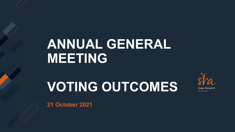## **ANNUAL GENERAL MEETING**

# **VOTING OUTCOMES**



**21 October 2021**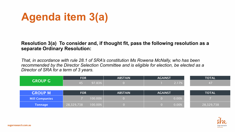### **Agenda item 3(a)**

#### **Resolution 3(a) To consider and, if thought fit, pass the following resolution as a separate Ordinary Resolution:**

*That, in accordance with rule 28.1 of SRA's constitution Ms Rowena McNally, who has been recommended by the Director Selection Committee and is eligible for election, be elected as a Director of SRA for a term of 3 years.*

| <b>GROUP G</b> | <b>FOR</b>            | <b>ABSTAIN</b> | <b>AGAINST</b> | <b>TOTAL</b> |
|----------------|-----------------------|----------------|----------------|--------------|
|                | 97.83%<br>45          |                | 2.17%          | 47           |
|                |                       |                |                |              |
| <b>GROUP M</b> | <b>FOR</b>            | <b>ABSTAIN</b> | <b>AGAINST</b> | <b>TOTAL</b> |
| Mill Companies | 100.00%               |                | 0.00%          |              |
| Tonnage        | 100.00%<br>28,329,738 |                | 0.00%          | 28,329,738   |

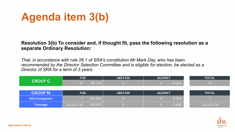### **Agenda item 3(b)**

#### **Resolution 3(b) To consider and, if thought fit, pass the following resolution as a separate Ordinary Resolution:**

*That, in accordance with rule 28.1 of SRA's constitution Mr Mark Day, who has been recommended by the Director Selection Committee and is eligible for election, be elected as a Director of SRA for a term of 3 years.*

| <b>GROUP G</b>        | <b>FOR</b>            | <b>ABSTAIN</b> | <b>AGAINST</b> | <b>TOTAL</b> |
|-----------------------|-----------------------|----------------|----------------|--------------|
|                       | 89.13%<br>74 T        |                | 10.87%         | 47           |
|                       |                       |                |                |              |
| <b>GROUP M</b>        | <b>FOR</b>            | <b>ABSTAIN</b> | <b>AGAINST</b> | <b>TOTAL</b> |
| <b>Mill Companies</b> | 100.00%               |                | 0.00%          |              |
| Tonnage               | 100.00%<br>28,329,738 |                | 0.00%          | 28,329,738   |

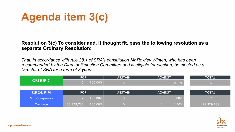### **Agenda item 3(c)**

#### **Resolution 3(c) To consider and, if thought fit, pass the following resolution as a separate Ordinary Resolution:**

*That, in accordance with rule 28.1 of SRA's constitution Mr Rowley Winten, who has been recommended by the Director Selection Committee and is eligible for election, be elected as a Director of SRA for a term of 3 years.*

| <b>GROUP G</b>        | <b>FOR</b>            | <b>ABSTAIN</b> | <b>AGAINST</b> | <b>TOTAL</b> |
|-----------------------|-----------------------|----------------|----------------|--------------|
|                       | 100.00%<br>46         |                | 0.00%          | 47           |
|                       |                       |                |                |              |
| <b>GROUP M</b>        | <b>FOR</b>            | <b>ABSTAIN</b> | <b>AGAINST</b> | <b>TOTAL</b> |
| <b>Mill Companies</b> | 100.00%               |                | 0.00%          |              |
| <b>Tonnage</b>        | 100.00%<br>28,329,738 |                | 0.00%          | 28,329,738   |